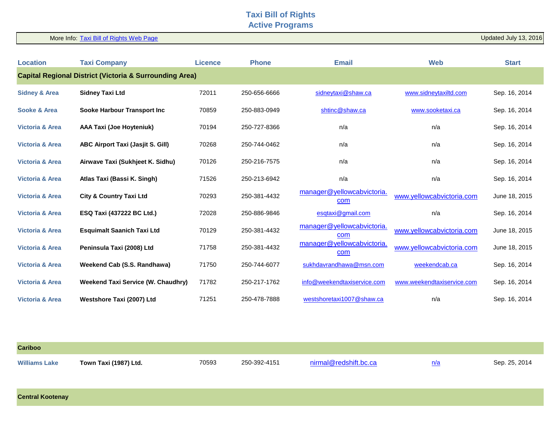## **Taxi Bill of Rights Active Programs**

More Info: [Taxi Bill of Rights Web Page](http://www.ptboard.bc.ca/taxi_rights.htm)

Updated July 13, 2016

| <b>Location</b>                                                    | <b>Taxi Company</b>                       | <b>Licence</b> | <b>Phone</b> | <b>Email</b>                      | <b>Web</b>                 | <b>Start</b>  |  |
|--------------------------------------------------------------------|-------------------------------------------|----------------|--------------|-----------------------------------|----------------------------|---------------|--|
| <b>Capital Regional District (Victoria &amp; Surrounding Area)</b> |                                           |                |              |                                   |                            |               |  |
| <b>Sidney &amp; Area</b>                                           | <b>Sidney Taxi Ltd</b>                    | 72011          | 250-656-6666 | sidneytaxi@shaw.ca                | www.sidneytaxiltd.com      | Sep. 16, 2014 |  |
| Sooke & Area                                                       | Sooke Harbour Transport Inc               | 70859          | 250-883-0949 | shtinc@shaw.ca                    | www.sooketaxi.ca           | Sep. 16, 2014 |  |
| <b>Victoria &amp; Area</b>                                         | <b>AAA Taxi (Joe Hoyteniuk)</b>           | 70194          | 250-727-8366 | n/a                               | n/a                        | Sep. 16, 2014 |  |
| <b>Victoria &amp; Area</b>                                         | <b>ABC Airport Taxi (Jasjit S. Gill)</b>  | 70268          | 250-744-0462 | n/a                               | n/a                        | Sep. 16, 2014 |  |
| <b>Victoria &amp; Area</b>                                         | Airwave Taxi (Sukhjeet K. Sidhu)          | 70126          | 250-216-7575 | n/a                               | n/a                        | Sep. 16, 2014 |  |
| <b>Victoria &amp; Area</b>                                         | Atlas Taxi (Bassi K. Singh)               | 71526          | 250-213-6942 | n/a                               | n/a                        | Sep. 16, 2014 |  |
| <b>Victoria &amp; Area</b>                                         | <b>City &amp; Country Taxi Ltd</b>        | 70293          | 250-381-4432 | manager@yellowcabvictoria.<br>com | www.yellowcabvictoria.com  | June 18, 2015 |  |
| <b>Victoria &amp; Area</b>                                         | <b>ESQ Taxi (437222 BC Ltd.)</b>          | 72028          | 250-886-9846 | esqtaxi@gmail.com                 | n/a                        | Sep. 16, 2014 |  |
| <b>Victoria &amp; Area</b>                                         | <b>Esquimalt Saanich Taxi Ltd</b>         | 70129          | 250-381-4432 | manager@yellowcabvictoria.<br>com | www.yellowcabvictoria.com  | June 18, 2015 |  |
| <b>Victoria &amp; Area</b>                                         | Peninsula Taxi (2008) Ltd                 | 71758          | 250-381-4432 | manager@yellowcabvictoria.<br>com | www.yellowcabvictoria.com  | June 18, 2015 |  |
| <b>Victoria &amp; Area</b>                                         | Weekend Cab (S.S. Randhawa)               | 71750          | 250-744-6077 | sukhdavrandhawa@msn.com           | weekendcab.ca              | Sep. 16, 2014 |  |
| <b>Victoria &amp; Area</b>                                         | <b>Weekend Taxi Service (W. Chaudhry)</b> | 71782          | 250-217-1762 | info@weekendtaxiservice.com       | www.weekendtaxiservice.com | Sep. 16, 2014 |  |
| <b>Victoria &amp; Area</b>                                         | Westshore Taxi (2007) Ltd                 | 71251          | 250-478-7888 | westshoretaxi1007@shaw.ca         | n/a                        | Sep. 16, 2014 |  |

| <b>Cariboo</b>       |                       |       |              |                                             |            |               |
|----------------------|-----------------------|-------|--------------|---------------------------------------------|------------|---------------|
| <b>Williams Lake</b> | Town Taxi (1987) Ltd. | 70593 | 250-392-4151 | $\mathbf{m}$ al $\mathbf{m}$ radehitt he ea | n/a<br>$-$ | Sep. 25, 2014 |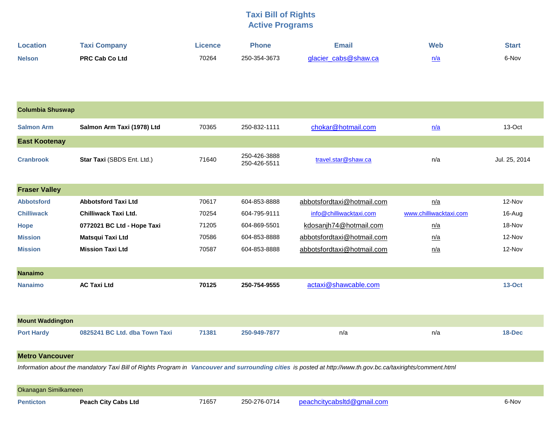## **Taxi Bill of Rights Active Programs**

| <b>Location</b> | <b>Taxi Company</b>   | ∟icence⊹ | <b>Phone</b> | Email                | <b>Web</b> | Start |
|-----------------|-----------------------|----------|--------------|----------------------|------------|-------|
| <b>Nelson</b>   | <b>PRC Cab Co Ltd</b> | 70264    | 250-354-3673 | glacier cabs@shaw.ca | n/a        | 6-Nov |

| <b>Columbia Shuswap</b>                                                                                                                                      |                               |       |                              |                            |                        |               |  |  |
|--------------------------------------------------------------------------------------------------------------------------------------------------------------|-------------------------------|-------|------------------------------|----------------------------|------------------------|---------------|--|--|
| <b>Salmon Arm</b>                                                                                                                                            | Salmon Arm Taxi (1978) Ltd    | 70365 | 250-832-1111                 | chokar@hotmail.com         | n/a                    | 13-Oct        |  |  |
| <b>East Kootenay</b>                                                                                                                                         |                               |       |                              |                            |                        |               |  |  |
| <b>Cranbrook</b>                                                                                                                                             | Star Taxi (SBDS Ent. Ltd.)    | 71640 | 250-426-3888<br>250-426-5511 | travel.star@shaw.ca        | n/a                    | Jul. 25, 2014 |  |  |
| <b>Fraser Valley</b>                                                                                                                                         |                               |       |                              |                            |                        |               |  |  |
| <b>Abbotsford</b>                                                                                                                                            | <b>Abbotsford Taxi Ltd</b>    | 70617 | 604-853-8888                 | abbotsfordtaxi@hotmail.com | n/a                    | 12-Nov        |  |  |
| <b>Chilliwack</b>                                                                                                                                            | <b>Chilliwack Taxi Ltd.</b>   | 70254 | 604-795-9111                 | info@chilliwacktaxi.com    | www.chilliwacktaxi.com | 16-Aug        |  |  |
| <b>Hope</b>                                                                                                                                                  | 0772021 BC Ltd - Hope Taxi    | 71205 | 604-869-5501                 | kdosanjh74@hotmail.com     | n/a                    | 18-Nov        |  |  |
| <b>Mission</b>                                                                                                                                               | Matsqui Taxi Ltd              | 70586 | 604-853-8888                 | abbotsfordtaxi@hotmail.com | n/a                    | 12-Nov        |  |  |
| <b>Mission</b>                                                                                                                                               | <b>Mission Taxi Ltd</b>       | 70587 | 604-853-8888                 | abbotsfordtaxi@hotmail.com | n/a                    | 12-Nov        |  |  |
| <b>Nanaimo</b>                                                                                                                                               |                               |       |                              |                            |                        |               |  |  |
| <b>Nanaimo</b>                                                                                                                                               | <b>AC Taxi Ltd</b>            | 70125 | 250-754-9555                 | actaxi@shawcable.com       |                        | $13-Oct$      |  |  |
|                                                                                                                                                              |                               |       |                              |                            |                        |               |  |  |
| <b>Mount Waddington</b>                                                                                                                                      |                               |       |                              |                            |                        |               |  |  |
| <b>Port Hardy</b>                                                                                                                                            | 0825241 BC Ltd. dba Town Taxi | 71381 | 250-949-7877                 | n/a                        | n/a                    | 18-Dec        |  |  |
| <b>Metro Vancouver</b>                                                                                                                                       |                               |       |                              |                            |                        |               |  |  |
| Information about the mandatory Taxi Bill of Rights Program in Vancouver and surrounding cities is posted at http://www.th.gov.bc.ca/taxirights/comment.html |                               |       |                              |                            |                        |               |  |  |